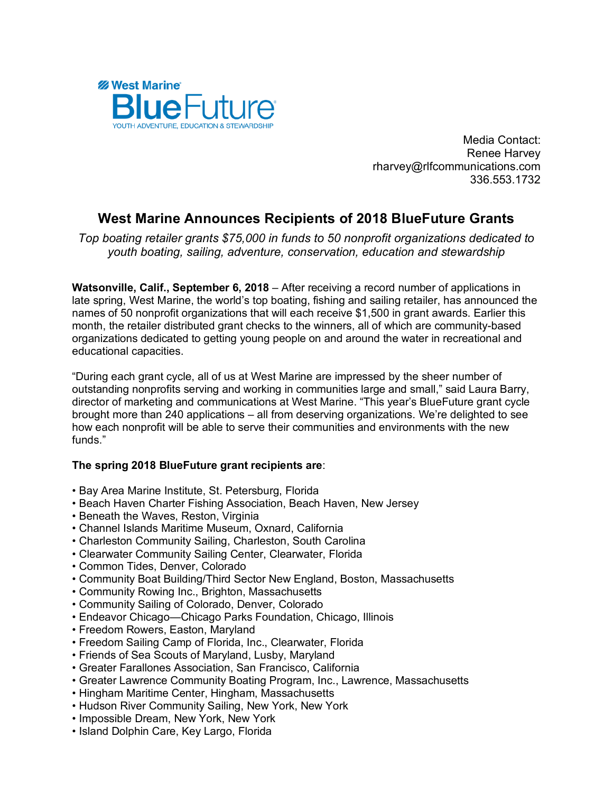

Media Contact: Renee Harvey rharvey@rlfcommunications.com 336.553.1732

## **West Marine Announces Recipients of 2018 BlueFuture Grants**

*Top boating retailer grants \$75,000 in funds to 50 nonprofit organizations dedicated to youth boating, sailing, adventure, conservation, education and stewardship*

**Watsonville, Calif., September 6, 2018** – After receiving a record number of applications in late spring, West Marine, the world's top boating, fishing and sailing retailer, has announced the names of 50 nonprofit organizations that will each receive \$1,500 in grant awards. Earlier this month, the retailer distributed grant checks to the winners, all of which are community-based organizations dedicated to getting young people on and around the water in recreational and educational capacities.

"During each grant cycle, all of us at West Marine are impressed by the sheer number of outstanding nonprofits serving and working in communities large and small," said Laura Barry, director of marketing and communications at West Marine. "This year's BlueFuture grant cycle brought more than 240 applications – all from deserving organizations. We're delighted to see how each nonprofit will be able to serve their communities and environments with the new funds."

## **The spring 2018 BlueFuture grant recipients are**:

- Bay Area Marine Institute, St. Petersburg, Florida
- Beach Haven Charter Fishing Association, Beach Haven, New Jersey
- Beneath the Waves, Reston, Virginia
- Channel Islands Maritime Museum, Oxnard, California
- Charleston Community Sailing, Charleston, South Carolina
- Clearwater Community Sailing Center, Clearwater, Florida
- Common Tides, Denver, Colorado
- Community Boat Building/Third Sector New England, Boston, Massachusetts
- Community Rowing Inc., Brighton, Massachusetts
- Community Sailing of Colorado, Denver, Colorado
- Endeavor Chicago—Chicago Parks Foundation, Chicago, Illinois
- Freedom Rowers, Easton, Maryland
- Freedom Sailing Camp of Florida, Inc., Clearwater, Florida
- Friends of Sea Scouts of Maryland, Lusby, Maryland
- Greater Farallones Association, San Francisco, California
- Greater Lawrence Community Boating Program, Inc., Lawrence, Massachusetts
- Hingham Maritime Center, Hingham, Massachusetts
- Hudson River Community Sailing, New York, New York
- Impossible Dream, New York, New York
- Island Dolphin Care, Key Largo, Florida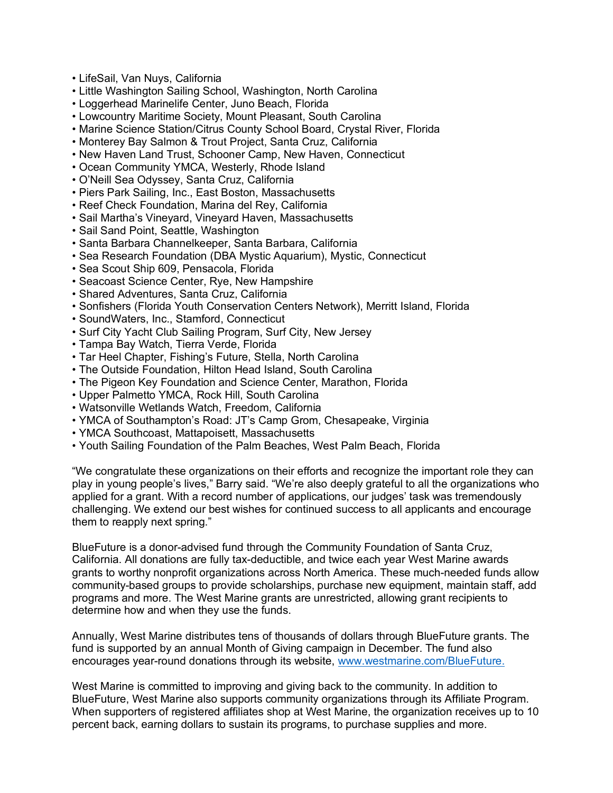- LifeSail, Van Nuys, California
- Little Washington Sailing School, Washington, North Carolina
- Loggerhead Marinelife Center, Juno Beach, Florida
- Lowcountry Maritime Society, Mount Pleasant, South Carolina
- Marine Science Station/Citrus County School Board, Crystal River, Florida
- Monterey Bay Salmon & Trout Project, Santa Cruz, California
- New Haven Land Trust, Schooner Camp, New Haven, Connecticut
- Ocean Community YMCA, Westerly, Rhode Island
- O'Neill Sea Odyssey, Santa Cruz, California
- Piers Park Sailing, Inc., East Boston, Massachusetts
- Reef Check Foundation, Marina del Rey, California
- Sail Martha's Vineyard, Vineyard Haven, Massachusetts
- Sail Sand Point, Seattle, Washington
- Santa Barbara Channelkeeper, Santa Barbara, California
- Sea Research Foundation (DBA Mystic Aquarium), Mystic, Connecticut
- Sea Scout Ship 609, Pensacola, Florida
- Seacoast Science Center, Rye, New Hampshire
- Shared Adventures, Santa Cruz, California
- Sonfishers (Florida Youth Conservation Centers Network), Merritt Island, Florida
- SoundWaters, Inc., Stamford, Connecticut
- Surf City Yacht Club Sailing Program, Surf City, New Jersey
- Tampa Bay Watch, Tierra Verde, Florida
- Tar Heel Chapter, Fishing's Future, Stella, North Carolina
- The Outside Foundation, Hilton Head Island, South Carolina
- The Pigeon Key Foundation and Science Center, Marathon, Florida
- Upper Palmetto YMCA, Rock Hill, South Carolina
- Watsonville Wetlands Watch, Freedom, California
- YMCA of Southampton's Road: JT's Camp Grom, Chesapeake, Virginia
- YMCA Southcoast, Mattapoisett, Massachusetts
- Youth Sailing Foundation of the Palm Beaches, West Palm Beach, Florida

"We congratulate these organizations on their efforts and recognize the important role they can play in young people's lives," Barry said. "We're also deeply grateful to all the organizations who applied for a grant. With a record number of applications, our judges' task was tremendously challenging. We extend our best wishes for continued success to all applicants and encourage them to reapply next spring."

BlueFuture is a donor-advised fund through the Community Foundation of Santa Cruz, California. All donations are fully tax-deductible, and twice each year West Marine awards grants to worthy nonprofit organizations across North America. These much-needed funds allow community-based groups to provide scholarships, purchase new equipment, maintain staff, add programs and more. The West Marine grants are unrestricted, allowing grant recipients to determine how and when they use the funds.

Annually, West Marine distributes tens of thousands of dollars through BlueFuture grants. The fund is supported by an annual Month of Giving campaign in December. The fund also encourages year-round donations through its website, www.westmarine.com/BlueFuture.

West Marine is committed to improving and giving back to the community. In addition to BlueFuture, West Marine also supports community organizations through its Affiliate Program. When supporters of registered affiliates shop at West Marine, the organization receives up to 10 percent back, earning dollars to sustain its programs, to purchase supplies and more.